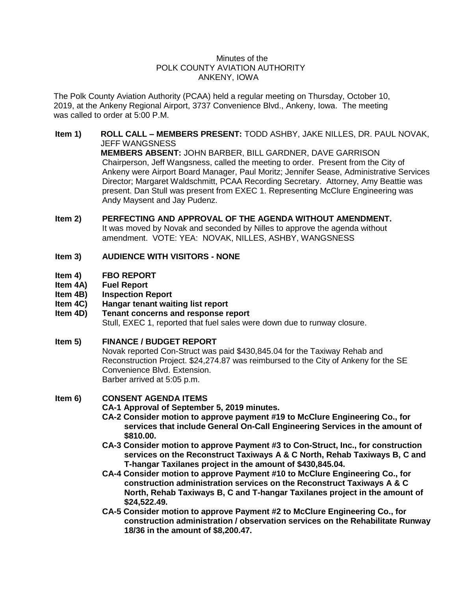## Minutes of the POLK COUNTY AVIATION AUTHORITY ANKENY, IOWA

The Polk County Aviation Authority (PCAA) held a regular meeting on Thursday, October 10, 2019, at the Ankeny Regional Airport, 3737 Convenience Blvd., Ankeny, Iowa. The meeting was called to order at 5:00 P.M.

- **Item 1) ROLL CALL – MEMBERS PRESENT:** TODD ASHBY, JAKE NILLES, DR. PAUL NOVAK, JEFF WANGSNESS **MEMBERS ABSENT:** JOHN BARBER, BILL GARDNER, DAVE GARRISON Chairperson, Jeff Wangsness, called the meeting to order. Present from the City of Ankeny were Airport Board Manager, Paul Moritz; Jennifer Sease, Administrative Services Director; Margaret Waldschmitt, PCAA Recording Secretary. Attorney, Amy Beattie was present. Dan Stull was present from EXEC 1. Representing McClure Engineering was Andy Maysent and Jay Pudenz.
- **Item 2) PERFECTING AND APPROVAL OF THE AGENDA WITHOUT AMENDMENT.** It was moved by Novak and seconded by Nilles to approve the agenda without amendment. VOTE: YEA: NOVAK, NILLES, ASHBY, WANGSNESS
- **Item 3) AUDIENCE WITH VISITORS - NONE**
- **Item 4) FBO REPORT**
- **Item 4A) Fuel Report**
- **Item 4B) Inspection Report**
- **Item 4C) Hangar tenant waiting list report**
- **Item 4D) Tenant concerns and response report** Stull, EXEC 1, reported that fuel sales were down due to runway closure.

### **Item 5) FINANCE / BUDGET REPORT**

Novak reported Con-Struct was paid \$430,845.04 for the Taxiway Rehab and Reconstruction Project. \$24,274.87 was reimbursed to the City of Ankeny for the SE Convenience Blvd. Extension. Barber arrived at 5:05 p.m.

### **Item 6) CONSENT AGENDA ITEMS**

**CA-1 Approval of September 5, 2019 minutes.**

- **CA-2 Consider motion to approve payment #19 to McClure Engineering Co., for services that include General On-Call Engineering Services in the amount of \$810.00.**
- **CA-3 Consider motion to approve Payment #3 to Con-Struct, Inc., for construction services on the Reconstruct Taxiways A & C North, Rehab Taxiways B, C and T-hangar Taxilanes project in the amount of \$430,845.04.**
- **CA-4 Consider motion to approve Payment #10 to McClure Engineering Co., for construction administration services on the Reconstruct Taxiways A & C North, Rehab Taxiways B, C and T-hangar Taxilanes project in the amount of \$24,522.49.**
- **CA-5 Consider motion to approve Payment #2 to McClure Engineering Co., for construction administration / observation services on the Rehabilitate Runway 18/36 in the amount of \$8,200.47.**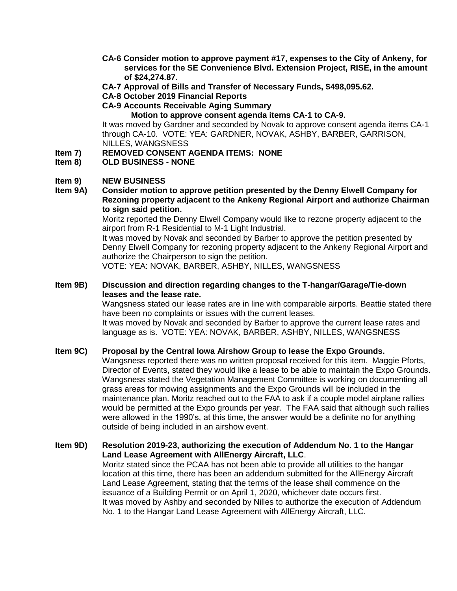- **CA-6 Consider motion to approve payment #17, expenses to the City of Ankeny, for services for the SE Convenience Blvd. Extension Project, RISE, in the amount of \$24,274.87.**
- **CA-7 Approval of Bills and Transfer of Necessary Funds, \$498,095.62.**
- **CA-8 October 2019 Financial Reports**
- **CA-9 Accounts Receivable Aging Summary**

**Motion to approve consent agenda items CA-1 to CA-9.**

It was moved by Gardner and seconded by Novak to approve consent agenda items CA-1 through CA-10. VOTE: YEA: GARDNER, NOVAK, ASHBY, BARBER, GARRISON, NILLES, WANGSNESS

- **Item 7) REMOVED CONSENT AGENDA ITEMS: NONE**
- **Item 8) OLD BUSINESS - NONE**

### **Item 9) NEW BUSINESS**

**Item 9A) Consider motion to approve petition presented by the Denny Elwell Company for Rezoning property adjacent to the Ankeny Regional Airport and authorize Chairman to sign said petition.**

Moritz reported the Denny Elwell Company would like to rezone property adjacent to the airport from R-1 Residential to M-1 Light Industrial.

It was moved by Novak and seconded by Barber to approve the petition presented by Denny Elwell Company for rezoning property adjacent to the Ankeny Regional Airport and authorize the Chairperson to sign the petition.

VOTE: YEA: NOVAK, BARBER, ASHBY, NILLES, WANGSNESS

## **Item 9B) Discussion and direction regarding changes to the T-hangar/Garage/Tie-down leases and the lease rate.**

Wangsness stated our lease rates are in line with comparable airports. Beattie stated there have been no complaints or issues with the current leases.

It was moved by Novak and seconded by Barber to approve the current lease rates and language as is. VOTE: YEA: NOVAK, BARBER, ASHBY, NILLES, WANGSNESS

### **Item 9C) Proposal by the Central Iowa Airshow Group to lease the Expo Grounds.**

Wangsness reported there was no written proposal received for this item. Maggie Pforts, Director of Events, stated they would like a lease to be able to maintain the Expo Grounds. Wangsness stated the Vegetation Management Committee is working on documenting all grass areas for mowing assignments and the Expo Grounds will be included in the maintenance plan. Moritz reached out to the FAA to ask if a couple model airplane rallies would be permitted at the Expo grounds per year. The FAA said that although such rallies were allowed in the 1990's, at this time, the answer would be a definite no for anything outside of being included in an airshow event.

**Item 9D) Resolution 2019-23, authorizing the execution of Addendum No. 1 to the Hangar Land Lease Agreement with AllEnergy Aircraft, LLC**.

Moritz stated since the PCAA has not been able to provide all utilities to the hangar location at this time, there has been an addendum submitted for the AllEnergy Aircraft Land Lease Agreement, stating that the terms of the lease shall commence on the issuance of a Building Permit or on April 1, 2020, whichever date occurs first. It was moved by Ashby and seconded by Nilles to authorize the execution of Addendum No. 1 to the Hangar Land Lease Agreement with AllEnergy Aircraft, LLC.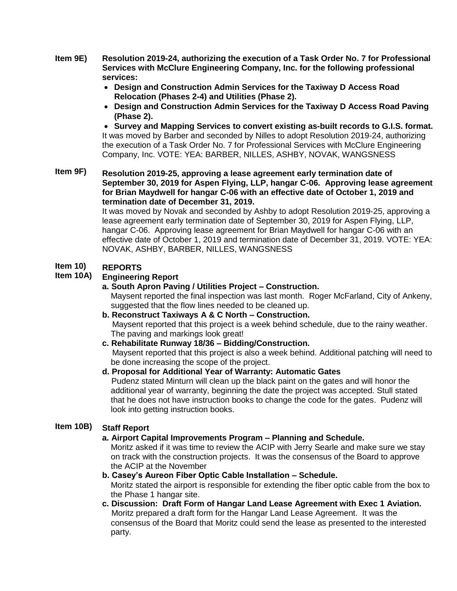- **Item 9E) Resolution 2019-24, authorizing the execution of a Task Order No. 7 for Professional Services with McClure Engineering Company, Inc. for the following professional services:**
	- **Design and Construction Admin Services for the Taxiway D Access Road Relocation (Phases 2-4) and Utilities (Phase 2).**
	- **Design and Construction Admin Services for the Taxiway D Access Road Paving (Phase 2).**

 **Survey and Mapping Services to convert existing as-built records to G.I.S. format.**  It was moved by Barber and seconded by Nilles to adopt Resolution 2019-24, authorizing the execution of a Task Order No. 7 for Professional Services with McClure Engineering Company, Inc. VOTE: YEA: BARBER, NILLES, ASHBY, NOVAK, WANGSNESS

**Item 9F) Resolution 2019-25, approving a lease agreement early termination date of September 30, 2019 for Aspen Flying, LLP, hangar C-06. Approving lease agreement for Brian Maydwell for hangar C-06 with an effective date of October 1, 2019 and termination date of December 31, 2019.**

It was moved by Novak and seconded by Ashby to adopt Resolution 2019-25, approving a lease agreement early termination date of September 30, 2019 for Aspen Flying, LLP, hangar C-06. Approving lease agreement for Brian Maydwell for hangar C-06 with an effective date of October 1, 2019 and termination date of December 31, 2019. VOTE: YEA: NOVAK, ASHBY, BARBER, NILLES, WANGSNESS

### **Item 10) REPORTS**

## **Item 10A) Engineering Report**

# **a. South Apron Paving / Utilities Project – Construction.**

Maysent reported the final inspection was last month. Roger McFarland, City of Ankeny, suggested that the flow lines needed to be cleaned up.

- **b. Reconstruct Taxiways A & C North – Construction.** Maysent reported that this project is a week behind schedule, due to the rainy weather. The paving and markings look great!
- **c. Rehabilitate Runway 18/36 – Bidding/Construction.** Maysent reported that this project is also a week behind. Additional patching will need to be done increasing the scope of the project.
- **d. Proposal for Additional Year of Warranty: Automatic Gates** Pudenz stated Minturn will clean up the black paint on the gates and will honor the additional year of warranty, beginning the date the project was accepted. Stull stated that he does not have instruction books to change the code for the gates. Pudenz will look into getting instruction books.

## **Item 10B) Staff Report**

# **a. Airport Capital Improvements Program – Planning and Schedule.**

Moritz asked if it was time to review the ACIP with Jerry Searle and make sure we stay on track with the construction projects. It was the consensus of the Board to approve the ACIP at the November

- **b. Casey's Aureon Fiber Optic Cable Installation – Schedule.**  Moritz stated the airport is responsible for extending the fiber optic cable from the box to the Phase 1 hangar site.
- **c. Discussion: Draft Form of Hangar Land Lease Agreement with Exec 1 Aviation.** Moritz prepared a draft form for the Hangar Land Lease Agreement. It was the consensus of the Board that Moritz could send the lease as presented to the interested party.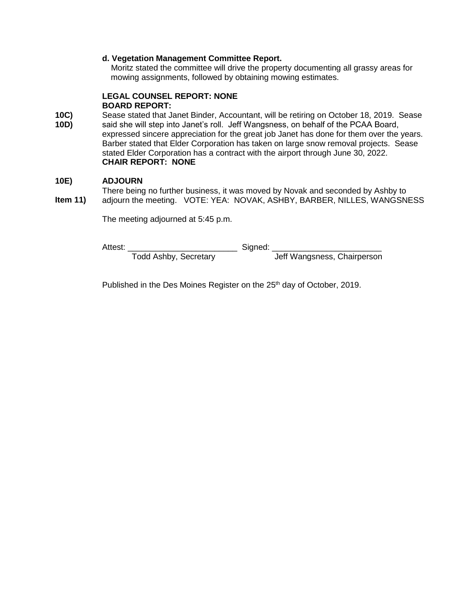## **d. Vegetation Management Committee Report.**

 Moritz stated the committee will drive the property documenting all grassy areas for mowing assignments, followed by obtaining mowing estimates.

## **LEGAL COUNSEL REPORT: NONE BOARD REPORT:**

**10C) 10D)** Sease stated that Janet Binder, Accountant, will be retiring on October 18, 2019. Sease said she will step into Janet's roll. Jeff Wangsness, on behalf of the PCAA Board, expressed sincere appreciation for the great job Janet has done for them over the years. Barber stated that Elder Corporation has taken on large snow removal projects. Sease stated Elder Corporation has a contract with the airport through June 30, 2022. **CHAIR REPORT: NONE**

### **10E) ADJOURN**

**Item 11)** There being no further business, it was moved by Novak and seconded by Ashby to adjourn the meeting. VOTE: YEA: NOVAK, ASHBY, BARBER, NILLES, WANGSNESS

The meeting adjourned at 5:45 p.m.

Attest: \_\_\_\_\_\_\_\_\_\_\_\_\_\_\_\_\_\_\_\_\_\_\_\_\_\_\_\_\_\_\_\_\_Signed: \_\_\_\_\_\_\_\_\_\_\_\_\_\_\_\_\_\_\_\_\_\_\_\_\_\_\_\_\_\_\_<br>Todd Ashby, Secretary

**Jeff Wangsness, Chairperson** 

Published in the Des Moines Register on the 25<sup>th</sup> day of October, 2019.